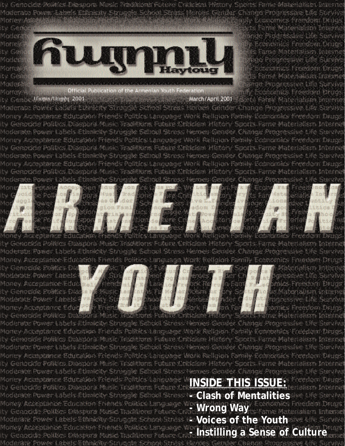

Official Publication of the Armenian Youth Federation U'mpin/Umphi 2001 March/April 2001

**Burs**: Honger Gender functable Pawer as a state with out Arrestance Education Friends Politics Linneage Work Religion Family Economics Freed йолен ande Politics Diaspara Music Traditions Future Criticiani History Sports Fame Materialism Power Labels Etimenty Struggle Surrout Struss Nemes Gender Chamae Progressive Arzeptance Education Friends Politics Language Work Religion Family Economics Freed Иолен mude Rullios Diaspora fitusk. Traditions Future Kelkkium History Sports Parre Materialis Power Labels Ethnicity Struggle Surrout Stress Nemes Cender Change Progressive Ausepteme Education Friends Politics Language Work Religion Family Economics free idir. H mode Pullics Discours Music Traditions Rulers Michael History Sucris Fr



**Program Filmson CONTRACTOR CONTRACTOR** 35 an - 100 an 1 ent Mal Tech Homes I Ation

DRUGGY 平均地固定 에 A리슈링 医线状内部 计内的 Hortev

Power Enbels Riene

Momey Acceptance Education Friends Politics Language Genocide Politics Diaspora Music Traditions Futured

ereanna **Morre** 

VI (SAN tu Ge force

Wali



*<i><u>Colored C</u>* Nortev Acceptance Education Energy Politics Lawrease Work Aelinian te Genneste Prasice Standard Messo Tracitivity Fulls re Criticiane Histor Anderson and Control Moderate Power Labels Ethnicibe Struggle. School Stress: Nemes Gemier Chamas Prog Nones Acceptance Education Friends Politics Language Work Religion Family Computats Free w Genoralis Romae, Deepara Music Traditions Future London History Sports Fare Materia And erabe Power Labels Ethnicity Structe School Stress Hennes Gender Change Proof **INSIDE THIS ISSUE:** ty Genocide Politics Diaspora Music Traditions Fu **- Clash of Mentalities** Money Acceptance Education Francis Politics Languag **- Wrong Way** Genocide Politics Diasenta Music Traditions Futur

**- Voices of the Youth** Aoderate Power Labels Ethnicity Struggle Schaol Stress **- Instilling a Sense of Culture**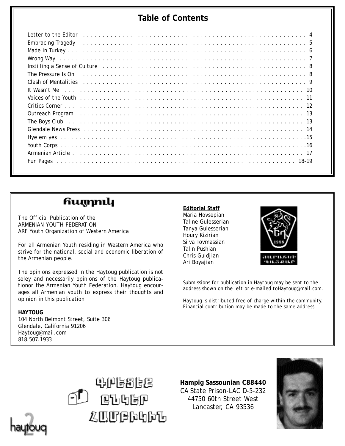#### **Table of Contents**

| The Pressure Is On educational contract to the contract of the contract of the Pressure Is On education of the contract of the Pressure Is On the contract of 8 |
|-----------------------------------------------------------------------------------------------------------------------------------------------------------------|
|                                                                                                                                                                 |
|                                                                                                                                                                 |
| Voices of the Youth research research with the Voice of the contract of the contract of the Vouth research in                                                   |
|                                                                                                                                                                 |
|                                                                                                                                                                 |
| The Boys Club (although and although and although and although and although and although and although and although $13$                                         |
|                                                                                                                                                                 |
|                                                                                                                                                                 |
|                                                                                                                                                                 |
|                                                                                                                                                                 |
|                                                                                                                                                                 |
|                                                                                                                                                                 |

#### հայրուկ

The Official Publication of the ARMENIAN YOUTH FEDERATION ARF Youth Organization of Western America

For all Armenian Youth residing in Western America who strive for the national, social and economic liberation of the Armenian people.

The opinions expressed in the Haytoug publication is not soley and necessarily opinions of the Haytoug publicationor the Armenian Youth Federation. Haytoug encourages all Armenian youth to express their thoughts and opinion in this publication

#### **HAYTOUG**

104 North Belmont Street, Suite 306 Glendale, California 91206 Haytoug@mail.com 818.507.1933

#### **Editorial Staff**

Maria Hovsepian Taline Gulesserian Tanya Gulesserian Houry Kizirian Silva Tovmassian Talin Pushian Chris Guldjian Ari Boyajian



*Submissions for publication in Haytoug may be sent to the address shown on the left or e-mailed toHaytoug@mail.com.*

*Haytoug is distributed free of charge within the community. Financial contribution may be made to the same address.*

9:1854.<br>95:19 ՀԱՄԲԻԿԻՆ

**Hampig Sassounian C88440** CA State Prison-LAC D-5-232 44750 60th Street West Lancaster, CA 93536



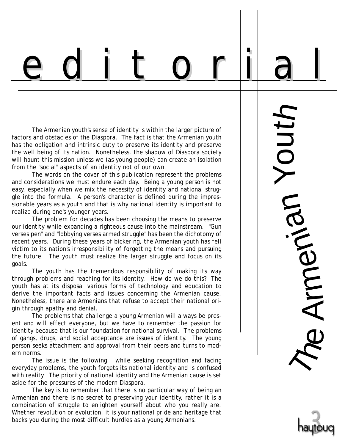## e d i t o r i a l

The Armenian youth's sense of identity is within the larger picture of factors and obstacles of the Diaspora. The fact is that the Armenian youth has the obligation and intrinsic duty to preserve its identity and preserve the well being of its nation. Nonetheless, the shadow of Diaspora society will haunt this mission unless we (as young people) can create an isolation from the "social" aspects of an identity not of our own.

The words on the cover of this publication represent the problems and considerations we must endure each day. Being a young person is not easy, especially when we mix the necessity of identity and national struggle into the formula. A person's character is defined during the impressionable years as a youth and that is why national identity is important to realize during one's younger years.

The problem for decades has been choosing the means to preserve our identity while expanding a righteous cause into the mainstream. "Gun verses pen" and "lobbying verses armed struggle" has been the dichotomy of recent years. During these years of bickering, the Armenian youth has fell victim to its nation's irresponsibility of forgetting the means and pursuing the future. The youth must realize the larger struggle and focus on its goals.

The youth has the tremendous responsibility of making its way through problems and reaching for its identity. How do we do this? The youth has at its disposal various forms of technology and education to derive the important facts and issues concerning the Armenian cause. Nonetheless, there are Armenians that refuse to accept their national origin through apathy and denial.

The problems that challenge a young Armenian will always be present and will effect everyone, but we have to remember the passion for identity because that is our foundation for national survival. The problems of gangs, drugs, and social acceptance are issues of identity. The young person seeks attachment and approval from their peers and turns to modern norms.

The issue is the following: while seeking recognition and facing everyday problems, the youth forgets its national identity and is confused with reality. The priority of national identity and the Armenian cause is set aside for the pressures of the modern Diaspora.

The key is to remember that there is no particular way of being an Armenian and there is no secret to preserving your identity, rather it is a combination of struggle to enlighten yourself about who you really are. Whether revolution or evolution, it is your national pride and heritage that backs you during the most difficult hurdles as a young Armenians.

The Amren ai  $\subset$ Yo u $\overline{\phantom{a}}$  $\boldsymbol{\mathcal{L}}$ 

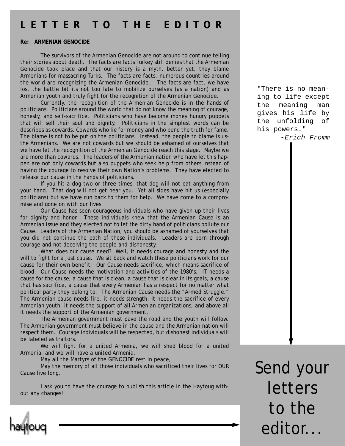#### **LETTER TO THE EDITOR**

#### **Re: ARMENIAN GENOCIDE**

The survivors of the Armenian Genocide are not around to continue telling their stories about death. The facts are facts Turkey still denies that the Armenian Genocide took place and that our history is a myth, better yet, they blame Armenians for massacring Turks. The facts are facts, numerous countries around the world are recognizing the Armenian Genocide. The facts are fact, we have lost the battle bit its not too late to mobilize ourselves (as a nation) and as Armenian youth and truly fight for the recognition of the Armenian Genocide.

Currently, the recognition of the Armenian Genocide is in the hands of politicians. Politicians around the world that do not know the meaning of courage, honesty, and self-sacrifice. Politicians who have become money hungry puppets that will sell their soul and dignity. Politicians in the simplest words can be describes as cowards. Cowards who lie for money and who bend the truth for fame. The blame is not to be put on the politicians. Instead, the people to blame is usthe Armenians. We are not cowards but we should be ashamed of ourselves that we have let the recognition of the Armenian Genocide reach this stage. Maybe we are more than cowards. The leaders of the Armenian nation who have let this happen are not only cowards but also puppets who seek help from others instead of having the courage to resolve their own Nation's problems. They have elected to release our cause in the hands of politicians.

If you hit a dog two or three times, that dog will not eat anything from your hand. That dog will not get near you. Yet all sides have hit us (especially politicians) but we have run back to them for help. We have come to a compromise and gone on with our lives.

Our Cause has seen courageous individuals who have given up their lives for dignity and honor. These individuals knew that the Armenian Cause is an Armenian issue and they elected not to let the dirty hand of politicians pollute our Cause. Leaders of the Armenian Nation, you should be ashamed of yourselves that you did not continue the path of these individuals. Leaders are born through courage and not deceiving the people and dishonesty.

What does our cause need? Well, it needs courage and honesty and the will to fight for a just cause. We sit back and watch these politicians work for our cause for their own benefit. Our Cause needs sacrifice, which means sacrifice of blood. Our Cause needs the motivation and activities of the 1980's. IT needs a cause for the cause, a cause that is clean, a cause that is clear in its goals, a cause that has sacrifice, a cause that every Armenian has a respect for no matter what political party they belong to. The Armenian Cause needs the "Armed Struggle." The Armenian cause needs fire, it needs strength, it needs the sacrifice of every Armenian youth, it needs the support of all Armenian organizations, and above all it needs the support of the Armenian government.

The Armenian government must pave the road and the youth will follow. The Armenian government must believe in the cause and the Armenian nation will respect them. Courage individuals will be respected, but dishonest individuals will be labeled as traitors.

We will fight for a united Armenia, we will shed blood for a united Armenia, and we will have a united Armenia.

May all the Martyrs of the GENOCIDE rest in peace,

May the memory of all those individuals who sacrificed their lives for OUR Cause live long,

I ask you to have the courage to publish this article in the Haytoug without any changes!

"There is no meaning to life except the meaning man gives his life by the unfolding of his powers." -Erich Fromm

Send your letters to the editor...

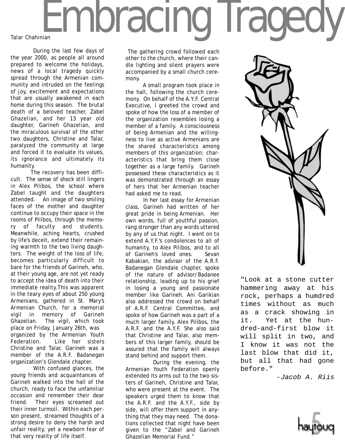## **Fundacing Irac**

During the last few days of the year 2000, as people all around prepared to welcome the holidays, news of a local tragedy quickly spread through the Armenian community and intruded on the feelings of joy, excitement and expectations that are usually awakened in each home during this season. The brutal death of a beloved teacher, Zabel Ghazelian, and her 13 year old daughter, Garineh Ghazelian, and the miraculous survival of the other two daughters, Christine and Talar, paralyzed the community at large and forced it to evaluate its values, its ignorance and ultimately its humanity.

The recovery has been difficult. The sense of shock still lingers in Alex Pilibos, the school where Zabel taught and the daughters attended. An image of two smiling faces of the mother and daughter continue to occupy their space in the rooms of Pilibos, through the memory of faculty and students. Meanwhile, aching hearts, crushed by life's deceit, extend their remaining warmth to the two living daughters. The weight of the loss of life, becomes particularly difficult to bare for the friends of Garineh, who, at their young age, are not yet ready to accept the idea of death into their immediate reality.This was apparent in the teary eyes of about 250 young Armenians, gathered in St. Mary's Armenian Church, for a memorial vigil in memory of Garineh Ghazelian. The vigil, which took place on Friday, January 26th, was organized by the Armenian Youth Federation. Like her sisters Christine and Talar, Garineh was a member of the A.R.F. Badanegan organization's Glendale chapter.

With confused glances, the young friends and acquaintances of Garineh walked into the hall of the church, ready to face the unfamiliar occasion and remember their dear friend. Their eyes screamed out their inner turmoil. Within each person present, streamed thoughts of a strong desire to deny the harsh and unfair reality, yet a newborn fear of that very reality of life itself.

The gathering crowd followed each other to the church, where their candle lighting and silent prayers were accompanied by a small church ceremony.

A small program took place in the hall, following the church ceremony. On behalf of the A.Y.F. Central Executive, I greeted the crowd and spoke of how the loss of a member of the organization resembles losing a member of a family. A consciousness of being Armenian and the willingness to live as active Armenians are the shared characteristics among members of this organization; characteristics that bring them close together as a large family. Garineh possessed these characteristics as it was demonstrated through an essay of hers that her Armenian teacher had asked me to read.

In her last essay for Armenian class, Garineh had written of her great pride in being Armenian. Her own words, full of youthful passion, rang stronger than any words uttered by any of us that night. I went on to extend A.Y.F.'s condolences to all of humanity, to Alex Pilibos, and to all of Garineh's loved ones. Sevan Kabakian, the advisor of the A.R.F. Badanegan Glendale chapter, spoke of the nature of advisor/Badanee relationship, leading up to his grief in losing a young and passionate member like Garineh. Ani Garikian also addressed the crowd on behalf of A.R.F. Central Committee, and spoke of how Garineh was a part of a much larger family, Alex Pilibos, the A.R.F. and the A.Y.F. She also said that Christine and Talar, also members of this larger family, should be assured that the family will always stand behind and support them.

During the evening, the Armenian Youth Federation openly extended its arms out to the two sisters of Garineh, Christine and Talar, who were present at the event. The speakers urged them to know that the A.R.F. and the A.Y.F., side by side, will offer them support in anything that they may need. The donations collected that night have been given to the "Zabel and Garineh Ghazelian Memorial Fund."



"Look at a stone cutter hammering away at his rock, perhaps a humdred times without as much as a crack showing in it. Yet at the hundred-and-first blow it will split in two, and I know it was not the last blow that did it, but all that had gone before."

-Jacob A. Riis

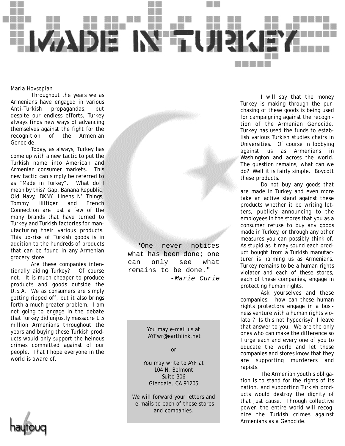

#### *Maria Hovsepian*

Throughout the years we as Armenians have engaged in various Anti-Turkish propagandas, but despite our endless efforts, Turkey always finds new ways of advancing themselves against the fight for the recognition of the Armenian Genocide.

Today, as always, Turkey has come up with a new tactic to put the Turkish name into American and Armenian consumer markets. This new tactic can simply be referred to as "Made in Turkey". What do I mean by this? Gap, Banana Republic, Old Navy, DKNY, Linens N' Things, Tommy Hilfiger and French Connection are just a few of the many brands that have turned to Turkey and Turkish factories for manufacturing their various products. This up-rise of Turkish goods is in addition to the hundreds of products that can be found in any Armenian grocery store.

Are these companies intentionally aiding Turkey? Of course not. It is much cheaper to produce products and goods outside the U.S.A. We as consumers are simply getting ripped off, but it also brings forth a much greater problem. I am not going to engage in the debate that Turkey did unjustly massacre 1.5 million Armenians throughout the years and buying these Turkish products would only support the heinous crimes committed against of our people. That I hope everyone in the world is aware of.

"One never notices what has been done; one can only see what remains to be done." -Marie Curie

> You may e-mail us at AYFwr@earthlink.net

#### or

You may write to AYF at 104 N. Belmont Suite 306 Glendale, CA 91205

We will forward your letters and e-mails to each of these stores and companies.

I will say that the money Turkey is making through the purchasing of these goods is being used for campaigning against the recognition of the Armenian Genocide. Turkey has used the funds to establish various Turkish studies chairs in Universities. Of course in lobbying against us as Armenians in Washington and across the world. The question remains, what can we do? Well it is fairly simple. Boycott these products.

Do not buy any goods that are made in Turkey and even more take an active stand against these products whether it be writing letters, publicly announcing to the employees in the stores that you as a consumer refuse to buy any goods made in Turkey, or through any other measures you can possibly think of. As stupid as it may sound each product bought from a Turkish manufacturer is harming us as Armenians. Turkey remains to be a human rights violator and each of these stores, each of these companies, engage in protecting human rights.

Ask yourselves and these companies: how can these human rights protectors engage in a business venture with a human rights violator? Is this not hypocrisy? I leave that answer to you. We are the only ones who can make the difference so I urge each and every one of you to educate the world and let these companies and stores know that they are supporting murderers and rapists.

The Armenian youth's obligation is to stand for the rights of its nation, and supporting Turkish products would destroy the dignity of that just cause. Through collective power, the entire world will recognize the Turkish crimes against Armenians as a Genocide.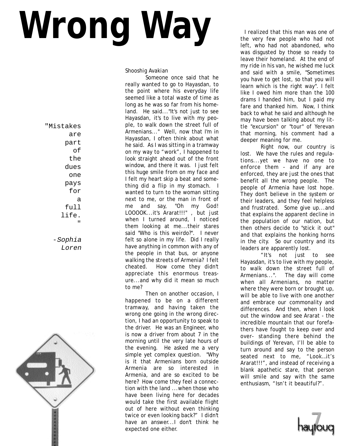## Wrong Way<br>The very few people who had not

"Mistakes are part of the dues one pays for a full life. .,

> -Sophia Loren



Someone once said that he really wanted to go to Hayasdan, to the point where his everyday life seemed like a total waste of time as long as he was so far from his homeland. He said..."It's not just to see Hayasdan, it's to live with my people, to walk down the street full of Armenians..." Well, now that I'm in Hayasdan, I often think about what he said. As I was sitting in a tramway on my way to "work", I happened to look straight ahead out of the front window, and there it was. I just felt this huge smile from on my face and I felt my heart skip a beat and something did a flip in my stomach. I wanted to turn to the woman sitting next to me, or the man in front of me and say, "Oh my God! LOOOOK...it's Ararat!!!" , but just when I turned around, I noticed them looking at me...their stares said "Who is this weirdo?". I never felt so alone in my life. Did I really have anything in common with any of the people in that bus, or anyone walking the streets of Armenia? I felt cheated. How come they didn't appreciate this enormous treasure...and why did it mean so much to me?

Then on another occasion, I happened to be on a different tramway, and having taken the wrong one going in the wrong direction, I had an opportunity to speak to the driver. He was an Engineer, who is now a driver from about 7 in the morning until the very late hours of the evening. He asked me a very simple yet complex question. "Why is it that Armenians born outside Armenia are so interested in Armenia, and are so excited to be here? How come they feel a connection with the land ...when those who have been living here for decades would take the first available flight out of here without even thinking twice or even looking back?" I didn't have an answer...I don't think he expected one either.

the very few people who had not left, who had not abandoned, who was disgusted by those so ready to leave their homeland. At the end of my ride in his van, he wished me luck and said with a smile, "Sometimes you have to get lost, so that you will learn which is the right way". I felt like I owed him more than the 100 drams I handed him, but I paid my fare and thanked him. Now, I think back to what he said and although he may have been talking about my little "excursion" or "tour" of Yerevan that morning, his comment had a deeper meaning for me.

Right now, our country is lost. We have the rules and regulations...yet we have no one to enforce them - and if any are enforced, they are just the ones that benefit all the wrong people. The people of Armenia have lost hope. They don't believe in the system or their leaders, and they feel helpless and frustrated. Some give up...and that explains the apparent decline in the population of our nation, but then others decide to "stick it out" and that explains the honking horns in the city. So our country and its leaders are apparently lost.

"It's not just to see Hayasdan, it's to live with my people, to walk down the street full of Armenians...". The day will come when all Armenians, no matter where they were born or brought up, will be able to live with one another and embrace our commonality and differences. And then, when I look out the window and see Ararat - the incredible mountain that our forefathers have fought to keep over and over- standing there behind the buildings of Yerevan, I'll be able to turn around and say to the person seated next to me, "Look…it's Ararat!!!", and instead of receiving a blank apathetic stare, that person will smile and say with the same enthusiasm, "Isn't it beautiful?".

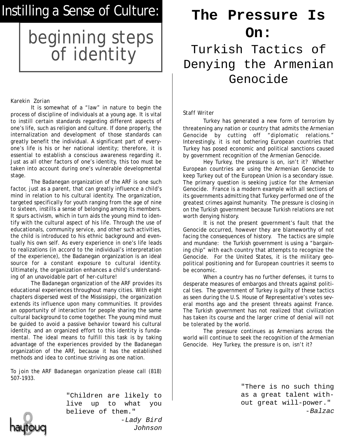#### Instilling a Sense of Culture:

## beginning steps<br>of identity

#### *Karekin Zorian*

It is somewhat of a "law" in nature to begin the process of discipline of individuals at a young age. It is vital to instill certain standards regarding different aspects of one's life, such as religion and culture. If done properly, the internalization and development of those standards can greatly benefit the individual. A significant part of everyone's life is his or her national identity; therefore, it is essential to establish a conscious awareness regarding it. Just as all other factors of one's identity, this too must be taken into account during one's vulnerable developmental stage.

The Badanegan organization of the ARF is one such factor, just as a parent, that can greatly influence a child's mind in relation to his cultural identity. The organization, targeted specifically for youth ranging from the age of nine to sixteen, instills a sense of belonging among its members. It spurs activism, which in turn aids the young mind to identify with the cultural aspect of his life. Through the use of educationals, community service, and other such activities, the child is introduced to his ethnic background and eventually his own self. As every experience in one's life leads to realizations (in accord to the individual's interpretation of the experience), the Badanegan organization is an ideal source for a constant exposure to cultural identity. Ultimately, the organization enhances a child's understanding of an unavoidable part of her-culture!

The Badanegan organization of the ARF provides its educational experiences throughout many cities. With eight chapters dispersed west of the Mississippi, the organization extends its influence upon many communities. It provides an opportunity of interaction for people sharing the same cultural background to come together. The young mind must be guided to avoid a passive behavior toward his cultural identity, and an organized effort to this identity is fundamental. The ideal means to fulfill this task is by taking advantage of the experiences provided by the Badanegan organization of the ARF, because it has the established methods and idea to continue striving as one nation.

To join the ARF Badanegan organization please call (818) 507-1933.

> "Children are likely to live up to what you believe of them." -Lady Bird Johnson

#### **The Pressure Is On:**

Turkish Tactics of Denying the Armenian Genocide

#### *Staff Writer*

Turkey has generated a new form of terrorism by threatening any nation or country that admits the Armenian Genocide by cutting off "diplomatic relations." Interestingly, it is not bothering European countries that Turkey has posed economic and political sanctions caused by government recognition of the Armenian Genocide.

Hey Turkey, the pressure is on, isn't it? Whether European countries are using the Armenian Genocide to keep Turkey out of the European Union is a secondary issue. The primary question is seeking justice for the Armenian Genocide. France is a modern example with all sections of its governments admitting that Turkey performed one of the greatest crimes against humanity. The pressure is closing in on the Turkish government because Turkish relations are not worth denying history.

It is not the present government's fault that the Genocide occurred, however they are blameworthy of not facing the consequences of history. The tactics are simple and mundane: the Turkish government is using a "bargaining chip" with each country that attempts to recognize the Genocide. For the United States, it is the military geopolitical positioning and for European countries it seems to be economic.

When a country has no further defenses, it turns to desperate measures of embargos and threats against political ties. The government of Turkey is guilty of these tactics as seen during the U.S. House of Representative's votes several months ago and the present threats against France. The Turkish government has not realized that civilization has taken its course and the larger crime of denial will not be tolerated by the world.

The pressure continues as Armenians across the world will continue to seek the recognition of the Armenian Genocide. Hey Turkey, the pressure is on, isn't it?

> "There is no such thing as a great talent without great will-power." -Balzac

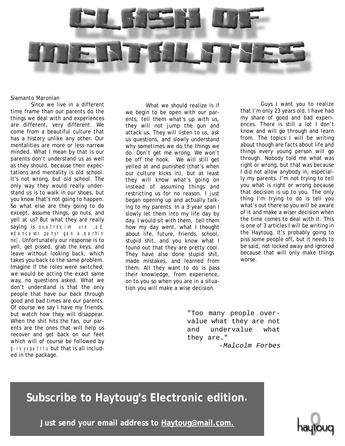

#### *Siamanto Maronian*

Since we live in a different time frame than our parents do the things we deal with and experiences are different, very different. We come from a beautiful culture that has a history unlike any other. Our mentalities are more or less narrow minded. What I mean by that is our parents don't understand us as well as they should, because their expectations and mentality is old school. It's not wrong, but old school. The only way they would really understand us is to walk in our shoes, but you know that's not going to happen. So what else are they going to do except, assume things, go nuts, and yell at us? But what they are really saying is ov, atrov; ivn ure , ad wdancavor panyr gan a,qarhin me]. Unfortunately our response is to yell, get pissed, grab the keys, and leave without looking back, which takes you back to the same problem. Imagine if the roles were switched; we would be acting the exact same way, no questions asked. What we don't understand is that the only people that have our back through good and bad times are our parents. Of course we say I have my friends, but watch how they will disappear. When the shit hits the fan, our parents are the ones that will help us recover and get back on our feet which will of course be followed by g-iv yv patrtu but that is all included in the package.

What we should realize is if we begin to be open with our parents, tell them what's up with us, they will not jump the gun and attack us. They will listen to us, ask us questions, and slowly understand why sometimes we do the things we do. Don't get me wrong. We won't be off the hook. We will still get yelled at and punished (that's when our culture kicks in), but at least they will know what's going on instead of assuming things and restricting us for no reason. I just began opening up and actually talking to my parents. In a 3 year span I slowly let them into my life day by day. I would sit with them, tell them how my day went, what I thought about life, future, friends, school, stupid shit, and you know what I found out that they are pretty cool. They have also done stupid shit, made mistakes, and learned from them. All they want to do is pass their knowledge, from experience, on to you so when you are in a situation you will make a wise decision.

Guys I want you to realize that I'm only 23 years old. I have had my share of good and bad experiences. There is still a lot I don't know and will go through and learn from. The topics I will be writing about though are facts about life and things every young person will go through. Nobody told me what was right or wrong, but that was because I did not allow anybody in, especially my parents. I'm not trying to tell you what is right or wrong because that decision is up to you. The only thing I'm trying to do is tell you what's out there so you will be aware of it and make a wiser decision when the time comes to deal with it. This is one of 3 articles I will be writing in the Haytoug. It's probably going to piss some people off, but it needs to be said, not locked away and ignored because that will only make things worse.

"Too many people overvalue what they are not and undervalue what they are." -Malcolm Forbes

**Subscribe to Haytoug's Electronic edition.**

**Just send your email address to Haytoug@mail.com.**

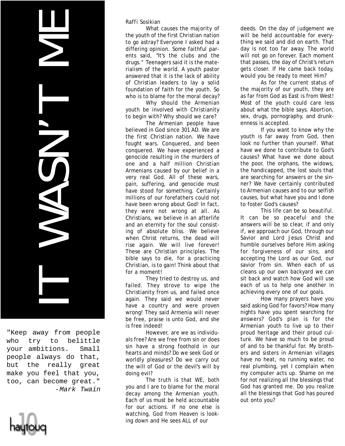# IT WASN'T ME

"Keep away from people who try to belittle your ambitions. Small people always do that, but the really great make you feel that you, too, can become great." -Mark Twain



#### *Raffi Sosikian*

What causes the majority of the youth of the first Christian nation to go astray? Everyone I asked had a differing opinion. Some faithful parents said, "It's the clubs and the drugs." Teenagers said it is the materialism of the world. A youth pastor answered that it is the lack of ability of Christian leaders to lay a solid foundation of faith for the youth. So who is to blame for the moral decay?

Why should the Armenian youth be involved with Christianity to begin with? Why should we care?

The Armenian people have believed in God since 301 AD. We are the first Christian nation. We have fought wars. Conquered, and been conquered. We have experienced a genocide resulting in the murders of one and a half million Christian Armenians caused by our belief in a very real God. All of these wars, pain, suffering, and genocide must have stood for something. Certainly millions of our forefathers could not have been wrong about God! In fact, they were not wrong at all. As Christians, we believe in an afterlife and an eternity for the soul consisting of absolute bliss. We believe when Christ returns, the dead will rise again. We will live forever! These are Christian principles. The bible says to die, for a practicing Christian, is to gain! Think about that for a moment!

They tried to destroy us, and failed. They strove to wipe the Christianity from us, and failed once again. They said we would never have a country and were proven wrong! They said Armenia will never be free, praise is unto God, and she is free indeed!

However, are we as individuals free? Are we free from sin or does sin have a strong foothold in our hearts and minds? Do we seek God or worldly pleasures? Do we carry out the will of God or the devil's will by doing evil?

The truth is that WE, both you and I are to blame for the moral decay among the Armenian youth. Each of us must be held accountable for our actions. If no one else is watching, God from Heaven is looking down and He sees ALL of our

deeds. On the day of judgement we will be held accountable for everything we said and did on earth. That day is not too far away. The world will not go on forever. Each moment that passes, the day of Christ's return gets closer. If He came back today, would you be ready to meet Him?

As for the current status of the majority of our youth, they are as far from God as East is from West! Most of the youth could care less about what the bible says. Abortion, sex, drugs, pornography, and drunkenness is accepted.

If you want to know why the youth is far away from God, then look no further than yourself. What have we done to contribute to God's causes? What have we done about the poor, the orphans, the widows, the handicapped, the lost souls that are searching for answers or the sinner? We have certainly contributed to Armenian causes and to our selfish causes, but what have you and I done to foster God's causes?

This life can be so beautiful. It can be so peaceful and the answers will be so clear, if and only if, we approach our God, through our Savior and Lord Jesus Christ and humble ourselves before Him asking for forgiveness of our sins, and accepting the Lord as our God, our savior from sin. When each of us cleans up our own backyard we can sit back and watch how God will use each of us to help one another in achieving every one of our goals.

How many prayers have you said asking God for favors? How many nights have you spent searching for answers? God's plan is for the Armenian youth to live up to their proud heritage and their proud culture. We have so much to be proud of and to be thankful for. My brothers and sisters in Armenian villages have no heat, no running water, no real plumbing, yet I complain when my computer acts up. Shame on me for not realizing all the blessings that God has granted me. Do you realize all the blessings that God has poured out onto you?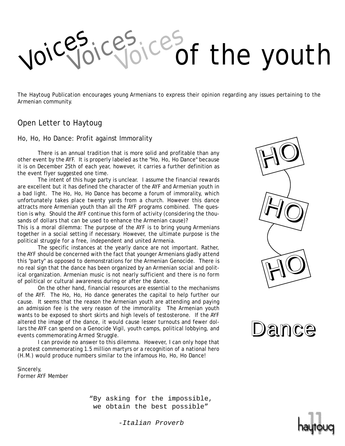

The Haytoug Publication encourages young Armenians to express their opinion regarding any issues pertaining to the Armenian community.

#### Open Letter to Haytoug

#### Ho, Ho, Ho Dance: Profit against Immorality

There is an annual tradition that is more solid and profitable than any other event by the AYF. It is properly labeled as the "Ho, Ho, Ho Dance" because it is on December 25th of each year, however, it carries a further definition as the event flyer suggested one time.

The intent of this huge party is unclear. I assume the financial rewards are excellent but it has defined the character of the AYF and Armenian youth in a bad light. The Ho, Ho, Ho Dance has become a forum of immorality, which unfortunately takes place twenty yards from a church. However this dance attracts more Armenian youth than all the AYF programs combined. The question is why. Should the AYF continue this form of activity (considering the thousands of dollars that can be used to enhance the Armenian cause)?

This is a moral dilemma: The purpose of the AYF is to bring young Armenians together in a social setting if necessary. However, the ultimate purpose is the political struggle for a free, independent and united Armenia.

The specific instances at the yearly dance are not important. Rather, the AYF should be concerned with the fact that younger Armenians gladly attend this "party" as opposed to demonstrations for the Armenian Genocide. There is no real sign that the dance has been organized by an Armenian social and political organization. Armenian music is not nearly sufficient and there is no form of political or cultural awareness during or after the dance.

On the other hand, financial resources are essential to the mechanisms of the AYF. The Ho, Ho, Ho dance generates the capital to help further our cause. It seems that the reason the Armenian youth are attending and paying an admission fee is the very reason of the immorality. The Armenian youth wants to be exposed to short skirts and high levels of testosterone. If the AYF altered the image of the dance, it would cause lesser turnouts and fewer dollars the AYF can spend on a Genocide Vigil, youth camps, political lobbying, and events commemorating Armed Struggle.

I can provide no answer to this dilemma. However, I can only hope that a protest commemorating 1.5 million martyrs or a recognition of a national hero (H.M.) would produce numbers similar to the infamous Ho, Ho, Ho Dance!

Sincerely, Former AYF Member

> "By asking for the impossible, we obtain the best possible"





-Italian Proverb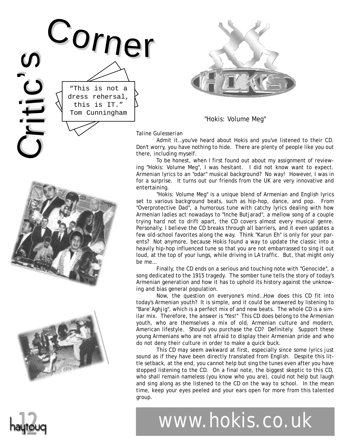"This is not a dress rehersal, this is IT." Tom Cunningham

Corne<sup>r</sup>



"Hokis: Volume Meg"

*Taline Gulesserian*

Admit it…you've heard about Hokis and you've listened to their CD. Don't worry, you have nothing to hide. There are plenty of people like you out there, including myself.

To be honest, when I first found out about my assignment of reviewing "Hokis: Volume Meg", I was hesitant. I did not know want to expect. Armenian lyrics to an "odar" musical background? No way! However, I was in for a surprise. It turns out our friends from the UK are very innovative and entertaining.

"Hokis: Volume Meg" is a unique blend of Armenian and English lyrics set to various background beats, such as hip-hop, dance, and pop. From "Overprotective Dad", a humorous tune with catchy lyrics dealing with how Armenian ladies act nowadays to "Inche Butjarad", a mellow song of a couple trying hard not to drift apart, the CD covers almost every musical genre. Personally, I believe the CD breaks through all barriers, and it even updates a few old-school favorites along the way. Think "Karun Eh" is only for your parents? Not anymore, because Hokis found a way to update the classic into a heavily hip-hop influenced tune so that you are not embarrassed to sing it out loud, at the top of your lungs, while driving in LA traffic. But, that might only be me…

Finally, the CD ends on a serious and touching note with "Genocide", a song dedicated to the 1915 tragedy. The somber tune tells the story of today's Armenian generation and how it has to uphold its history against the unknowing and bias general population.

Now, the question on everyone's mind…How does this CD fit into today's Armenian youth? It is simple, and it could be answered by listening to "Bare' Aghjig", which is a perfect mix of and new beats. The whole CD is a similar mix. Therefore, the answer is "Yes!" This CD does belong to the Armenian youth, who are themselves a mix of old, Armenian culture and modern, American lifestyle. Should you purchase the CD? Definitely. Support these young Armenians who are not afraid to display their Armenian pride and who do not deny their culture in order to make a quick buck.

This CD may seem awkward at first, especially since some lyrics just sound as if they have been directly translated from English. Despite this little setback, at the end, you cannot help but sing the tunes even after you have stopped listening to the CD. On a final note, the biggest skeptic to this CD, who shall remain nameless (you know who you are), could not help but laugh and sing along as she listened to the CD on the way to school. In the mean time, keep your eyes peeled and your ears open for more from this talented group.





 $\mathbf{\breve{C}}$ 

i $\overline{\phantom{a}}$ i

 $\mathbf C$ 

 $\blacksquare$ 

 $\boldsymbol{\mathsf{S}}$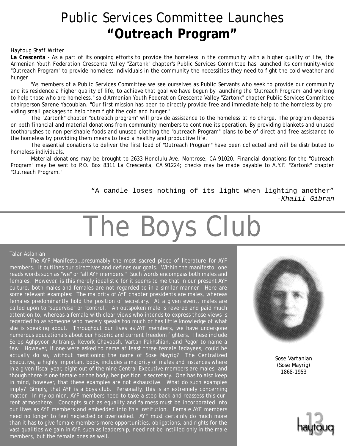#### Public Services Committee Launches **"Outreach Program"**

#### *Haytoug Staff Writer*

**La Crescenta** - As a part of its ongoing efforts to provide the homeless in the community with a higher quality of life, the Armenian Youth Federation Crescenta Valley "Zartonk" chapter's Public Services Committee has launched its community-wide "Outreach Program" to provide homeless individuals in the community the necessities they need to fight the cold weather and hunger.

"As members of a Public Services Committee we see ourselves as Public Servants who seek to provide our community and its residence a higher quality of life, to achieve that goal we have begun by launching the 'Outreach Program' and working to help those who are homeless," said Armenian Youth Federation Crescenta Valley "Zartonk" chapter Public Services Committee chairperson Sarene Yacoubian. "Our first mission has been to directly provide free and immediate help to the homeless by providing small packages to help them fight the cold and hunger."

The "Zartonk" chapter "outreach program" will provide assistance to the homeless at no charge. The program depends on both financial and material donations from community members to continue its operation. By providing blankets and unused toothbrushes to non-perishable foods and unused clothing the "outreach Program" plans to be of direct and free assistance to the homeless by providing them means to lead a healthy and productive life.

The essential donations to deliver the first load of "Outreach Program" have been collected and will be distributed to homeless individuals.

Material donations may be brought to 2633 Honolulu Ave. Montrose, CA 91020. Financial donations for the "Outreach Program" may be sent to P.O. Box 8311 La Crescenta, CA 91224; checks may be made payable to A.Y.F. "Zartonk" chapter "Outreach Program."

> "A candle loses nothing of its light when lighting another" -Khalil Gibran

## The Boys Club

#### *Talar Aslanian*

The AYF Manifesto…presumably the most sacred piece of literature for AYF members. It outlines our directives and defines our goals. Within the manifesto, one reads words such as "we" or "all AYF members." Such words encompass both males and females. However, is this merely idealistic for it seems to me that in our present AYF culture, both males and females are not regarded to in a similar manner. Here are some relevant examples: The majority of AYF chapter presidents are males, whereas females predominantly hold the position of secretary. At a given event, males are called upon to "supervise" or "control." An outspoken male is revered and paid much attention to, whereas a female with clear views who intends to express those views is regarded to as someone who merely speaks too much or has little knowledge of what she is speaking about. Throughout our lives as AYF members, we have undergone numerous educationals about our historic and current freedom fighters. These include Serop Aghpyoor, Antranig, Kevork Chavoosh, Vartan Pakhshian, and Pegor to name a few. However, if one were asked to name at least three female fedayees, could he actually do so, without mentioning the name of Sose Mayrig? The Centralized Executive, a highly important body, includes a majority of males and instances where in a given fiscal year, eight out of the nine Central Executive members are males, and though there is one female on the body, her position is secretary. One has to also keep in mind, however, that these examples are not exhaustive. What do such examples imply? Simply, that AYF is a boys club. Personally, this is an extremely concerning matter. In my opinion, AYF members need to take a step back and reassess this current atmosphere. Concepts such as equality and fairness must be incorporated into our lives as AYF members and embedded into this institution. Female AYF members need no longer to feel neglected or overlooked. AYF must certainly do much more than it has to give female members more opportunities, obligations, and rights for the vast qualities we gain in AYF, such as leadership, need not be instilled only in the male members, but the female ones as well.



Sose Vartanian (Sose Mayrig) 1868-1953

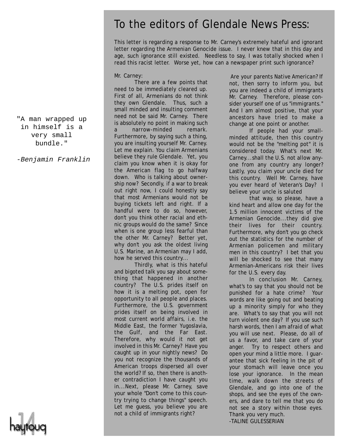"A man wrapped up in himself is a very small bundle."

-Benjamin Franklin

#### To the editors of Glendale News Press:

This letter is regarding a response to Mr. Carney's extremely hateful and ignorant letter regarding the Armenian Genocide issue. I never knew that in this day and age, such ignorance still existed. Needless to say, I was totally shocked when I read this racist letter. Worse yet, how can a newspaper print such ignorance?

Mr. Carney:

There are a few points that need to be immediately cleared up. First of all, Armenians do not think they own Glendale. Thus, such a small minded and insulting comment need not be said Mr. Carney. There is absolutely no point in making such

a narrow-minded remark. Furthermore, by saying such a thing, you are insulting yourself Mr. Carney. Let me explain. You claim Armenians believe they rule Glendale. Yet, you claim you know when it is okay for the American flag to go halfway down. Who is talking about ownership now? Secondly, if a war to break out right now, I could honestly say that most Armenians would not be buying tickets left and right. If a handful were to do so, however, don't you think other racial and ethnic groups would do the same? Since when is one group less fearful than the other Mr. Carney? Better yet, why don't you ask the oldest living U.S. Marine, an Armenian may I add, how he served this country...

Thirdly, what is this hateful and bigoted talk you say about something that happened in another country? The U.S. prides itself on how it is a melting pot, open for opportunity to all people and places. Furthermore, the U.S. government prides itself on being involved in most current world affairs, i.e. the Middle East, the former Yugoslavia, the Gulf, and the Far East. Therefore, why would it not get involved in this Mr. Carney? Have you caught up in your nightly news? Do you not recognize the thousands of American troops dispersed all over the world? If so, then there is another contradiction I have caught you in...Next, please Mr. Carney, save your whole "Don't come to this country trying to change things" speech. Let me guess, you believe you are not a child of immigrants right?

Are your parents Native American? If not, then sorry to inform you, but you are indeed a child of immigrants Mr. Carney. Therefore, please consider yourself one of us "immigrants." And I am almost positive, that your ancestors have tried to make a change at one point or another.

If people had your smallminded attitude, then this country would not be the "melting pot" it is considered today. What's next Mr. Carney...shall the U.S. not allow anyone from any country any longer? Lastly, you claim your uncle died for this country. Well Mr. Carney, have you ever heard of Veteran's Day? I believe your uncle is saluted

that way, so please, have a kind heart and allow one day for the 1.5 million innocent victims of the Armenian Genocide...they did give their lives for their country. Furthermore, why don't you go check out the statistics for the number of Armenian policemen and military men in this country? I bet that you will be shocked to see that many Armenian-Americans risk their lives for the U.S. every day.

In conclusion Mr. Carney, what's to say that you should not be punished for a hate crime? Your words are like going out and beating up a minority simply for who they are. What's to say that you will not turn violent one day? If you use such harsh words, then I am afraid of what you will use next. Please, do all of us a favor, and take care of your anger. Try to respect others and open your mind a little more. I guarantee that sick feeling in the pit of your stomach will leave once you lose your ignorance. In the mean time, walk down the streets of Glendale, and go into one of the shops, and see the eyes of the owners, and dare to tell me that you do not see a story within those eyes. Thank you very much. -TALINE GULESSERIAN

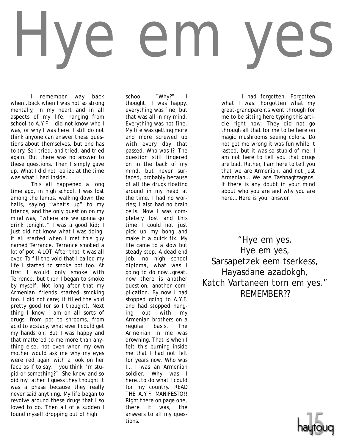# Hye em yes

I remember way back when…back when I was not so strong mentally, in my heart and in all aspects of my life, ranging from school to A.Y.F. I did not know who I was, or why I was here. I still do not think anyone can answer these questions about themselves, but one has to try. So I tried, and tried, and tried again. But there was no answer to these questions. Then I simply gave up. What I did not realize at the time was what I had inside.

This all happened a long time ago, in high school. I was lost among the lambs, walking down the halls, saying "what's up" to my friends, and the only question on my mind was, "where are we gonna go drink tonight." I was a good kid; I just did not know what I was doing. It all started when I met this guy named Terrance. Terrance smoked a lot of pot. A LOT. After that it was all over. To fill the void that I called my life I started to smoke pot too. At first I would only smoke with Terrence, but then I began to smoke by myself. Not long after that my Armenian friends started smoking too. I did not care; it filled the void pretty good (or so I thought). Next thing I know I am on all sorts of drugs, from pot to shrooms, from acid to ecstacy, what ever I could get my hands on. But I was happy and that mattered to me more than anything else, not even when my own mother would ask me why my eyes were red again with a look on her face as if to say, " you think I'm stupid or something?" She knew and so did my father. I guess they thought it was a phase because they really never said anything. My life began to revolve around these drugs that I so loved to do. Then all of a sudden I found myself dropping out of high

school. "Why?" thought. I was happy, everything was fine, but that was all in my mind. Everything was not fine. My life was getting more and more screwed up with every day that passed. Who was I? The question still lingered on in the back of my mind, but never surfaced, probably because of all the drugs floating around in my head at the time. I had no worries; I also had no brain cells. Now I was completely lost and this time I could not just pick up my bong and make it a quick fix. My life came to a slow but steady stop. A dead end job, no high school diploma, what was I going to do now…great, now there is another question, another complication. By now I had stopped going to A.Y.F. and had stopped hanging out with my Armenian brothers on a regular basis. The Armenian in me was drowning. That is when I felt this burning inside me that I had not felt for years now. Who was I… I was an Armenian soldier. Why was I here…to do what I could for my country. READ THE A.Y.F. MANIFESTO!! Right there on page one, there it was, the answers to all my questions.

I had forgotten. Forgotten what I was. Forgotten what my great-grandparents went through for me to be sitting here typing this article right now. They did not go through all that for me to be here on magic mushrooms seeing colors. Do not get me wrong it was fun while it lasted, but it was so stupid of me. I am not here to tell you that drugs are bad. Rather, I am here to tell you that we are Armenian, and not just Armenian… We are Tashnagtzagans. If there is any doubt in your mind about who you are and why you are here… Here is your answer.

"Hye em yes, Hye em yes, Sarsapetzek eem tserkess, Hayasdane azadokgh, Katch Vartaneen torn em yes." REMEMBER??

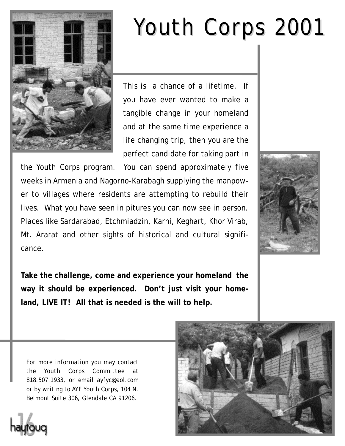### Youth Corps 2001



This is a chance of a lifetime. If you have ever wanted to make a tangible change in your homeland and at the same time experience a life changing trip, then you are the perfect candidate for taking part in

the Youth Corps program. You can spend approximately five weeks in Armenia and Nagorno-Karabagh supplying the manpower to villages where residents are attempting to rebuild their lives. What you have seen in pitures you can now see in person. Places like Sardarabad, Etchmiadzin, Karni, Keghart, Khor Virab, Mt. Ararat and other sights of historical and cultural significance.

**Take the challenge, come and experience your homeland the way it should be experienced. Don't just visit your homeland, LIVE IT! All that is needed is the will to help.**



*For more information you may contact the Youth Corps Committee at 818.507.1933, or email ayfyc@aol.com or by writing to AYF Youth Corps, 104 N. Belmont Suite 306, Glendale CA 91206.*



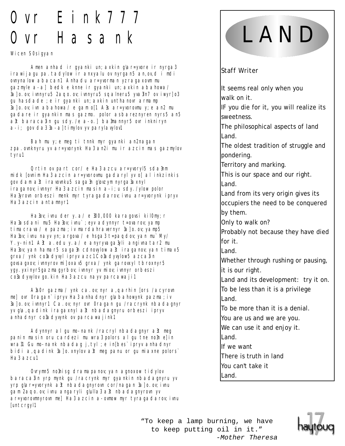#### Ovr Eink777 Ovr Hasank

Wicen S0sigyan

Amen anhad ir gyanki un; axkin glar=yvore ir nyrga3 irawijagu pa.tadylow ir anxyalu ov nyrgan5 an,ov,d i mdi ovnynalow abacan1 Anhadu ar=yvorman yzragaxovm mu gazmyle a-a] bedk e knne ir gyanki un;axkin abahowa/ 3a]o.ov; ivnnyru5 2aqo.ov; ivnnyru5 sqalneru5 yva3ln7 ov iwyr]o3 gu hasdade ;e ir gyanki un;axkin unthanovr armamp  $3a$ ]o.ov; ivn abahowa/ e gam o[1 A3s ar=yvorovmu y; e an2 mu gadare ir gyankin mas gazmo. polor asbareznyren nyrs5 an5 a3t baraca3in gu sdy./e a-o.] ba3mannyr5 ovr inkniryn a-i; gov da3 3a-a]timylov yv parylavylov1

Bah mu y;e meg ti tnnk myr gyanki an2nagan zpa.ovnknyru yv ar=yvorynk Ha3 an2i mu ir azcin mas gazmylov tyru1

Qrtin ov part cor/ e Ha3 azcu ar=yvoryl5 sda3nm midk [ovnim Ha3 azcin ar=yvorovmu gadaryl yv o[ al inkzinkis gov dam a3t iravovnku5 saga3n g\ovzym nyrga3axnyl iraganov;ivnnyr Ha3 azcin masin a-i;u sdy./ylow polor Ha3yrovn orbeszi menk myr tyragadarov; ivnu ar=yvorynk ipryv Ha3 azcin antamnyr1

Ha3ov; ivnu der y. a/ e 300,000 karagovsi kil0my; r Ha3asdani mu5 Ha3ov; ivnu` ; eyv adynnyr t=ovarov; yamp timacrava/ e pazma; iv mardahravernyr 3a]o.ov; yamp5 Ha3ov; ivnu nayv yn; argova/ e hsga3 t=paqdov; yan mu` My/ Y.y-nin1 A3t a.edu y.a/e anyryvaga3yli angivnatar2 mu Ha3ov; yan hamar5 saga3n cdnovylow a3t iraganov; yan timax5 grxa/ ynk co3adyvyl ipryv azc1Co3adyvylow5 azca3in govsagxov; ivnnyrov mi]oxav5 grxa/ ynk garovxyl tbroxnyr5 ygy.yxinyr5gazmagyrbov; ivnnyr yv miov; ivnnyr orbeszi co3adyvylov go.kin Ha3 azcu nayv parcawaji1

A3s0r gazma/ ynk ca.ov; nyr a, qarhin [ors /acyrovn me] ovr 0ragan` ipryv Ha3 anhadnyr g\abahowynk pazma;iv 3a]o.ov; ivnnyr1 Ca.ov; nyr ovr Oragan gu /racrynk nbadagnyr yv g\a,qadink iragaxnyl a3t nbadagnyru orbeszi ipryv anhadnyr co3adyvynk ov parcawajink1

Adynnyr al gu mo-nank /racryl nbadagnyr a3t meg panin masin oru cardezi mu wra3 polors al gu tne no3n e]in wra31 Gu mo-nank nbadag j,tyl ;e in[bes` ipryv anhadnyr bidi a,qadink 3a]o.xnylov a3t meg panu or gu miaxne polors` Ha3 azcu1

Ovrymn5 no3nisg dramapanov; yan agnoxow tidylov baraca3in yrp mynk gu /racrynk myr gyankin nbadagnyru yv yrp glar=yvorynk a3t nbadagnyrovn cor/nagan 3a]o.ov; ivnu gam 2aqo.ov; ivnu angaryli glulla3 a3t nbadagnyrovn yv ar=yvorovmnyrovn me] Ha3 azcin a-ovmow myr tyragadarov; ivnu [untcrgyl1

## LAND

#### *Staff Writer*

It seems real only when you walk on it. IF you die for it, you will realize its

sweetness. The philosophical aspects of land Land.

The oldest tradition of struggle and pondering.

Territory and marking.

This is our space and our right. Land.

Land from its very origin gives its occupiers the need to be conquered by them.

Only to walk on?

Probably not because they have died for it.

Land.

Whether through rushing or pausing, it is our right.

Land and its development: try it on. To be less than it is a privilege Land.

To be more than it is a denial.

You are us and we are you.

We can use it and enjoy it.

Land.

If we want

There is truth in land

You can't take it

Land.



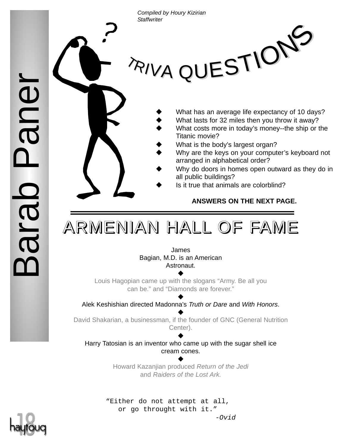*Compiled by Houry Kizirian Staffwriter*

# RIVA QUESTIONS

- What has an average life expectancy of 10 days?
	- What lasts for 32 miles then you throw it away?
	- What costs more in today's money--the ship or the Titanic movie?
- What is the body's largest organ?
- Why are the keys on your computer's keyboard not arranged in alphabetical order?
- Why do doors in homes open outward as they do in all public buildings?
- Is it true that animals are colorblind?

**ANSWERS ON THE NEXT PAGE.**

#### ARMENIAN HALL OF FAME

James Bagian, M.D. is an American Astronaut.  $\blacklozenge$ 

Louis Hagopian came up with the slogans "Army. Be all you can be." and "Diamonds are forever."  $\blacklozenge$ 

Alek Keshishian directed Madonna's *Truth or Dare* and *With Honors* .  $\blacklozenge$ 

David Shakarian, a businessman, if the founder of GNC (General Nutrition Center).  $\ddot{\bullet}$ 

Harry Tatosian is an inventor who came up with the sugar shell ice cream cones.  $\blacklozenge$ 

> Howard Kazanjian produced *Return of the Jedi* and *Raiders of the Lost Ark.*

"Either do not attempt at all, or go throught with it." -Ovid



Barab Paner

drab

aner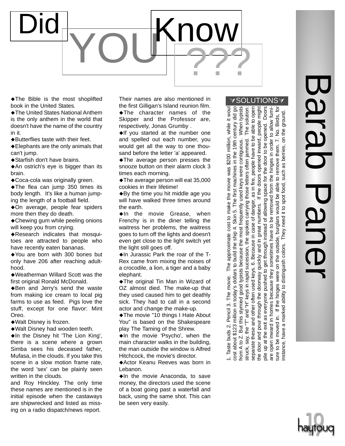

The Bible is the most shoplifted book in the United States.

The United States National Anthem is the only anthem in the world that doesn't have the name of the country in it.

Butterflies taste with their feet.

Elephants are the only animals that can't jump.

Starfish don't have brains.

◆ An ostrich's eye is bigger than its brain.

Coca-cola was originally green.

The flea can jump 350 times its body length. It's like a human jumping the length of a football field.

On average, people fear spiders more then they do death.

Chewing gum while peeling onions will keep you from crying.

Research indicates that mosquitoes are attracted to people who have recently eaten bananas.

You are born with 300 bones but only have 206 after reaching adulthood.

Weatherman Willard Scott was the first original Ronald McDonald.

◆Ben and Jerry's send the waste from making ice cream to local pig farms to use as feed. Pigs love the stuff, except for one flavor: Mint Oreo.

Walt Disney is frozen.

Walt Disney had wooden teeth.

 $\triangle$ In the Disney hit 'The Lion King', there is a scene where a grown Simba sees his deceased father, Mufasa, in the clouds. If you take this scene in a slow motion frame rate, the word 'sex' can be plainly seen written in the clouds.

and Roy Hinckley. The only time these names are mentioned is in the initial episode when the castaways are shipwrecked and listed as missing on a radio dispatch/news report.

Their names are also mentioned in the first Gilligan's Island reunion film. The character names of the Skipper and the Professor are, respectively, Jonas Grumby .

If you started at the number one and spelled out each number, you would get all the way to one thousand before the letter 'a' appeared.

The average person presses the snooze button on their alarm clock 3 times each morning.

The average person will eat 35,000 cookies in their lifetime!

 $\triangle$  By the time you hit middle age you will have walked three times around the earth.

 $\triangle$ In the movie Grease, when Frenchy is in the diner telling the waitress her problems, the waitress goes to turn off the lights and doesn't even get close to the light switch yet the light still goes off.

 $\triangle$ In Jurassic Park the roar of the T-Rex came from mixing the noises of a crocodile, a lion, a tiger and a baby elephant.

The original Tin Man in Wizard of OZ almost died. The make-up that they used caused him to get deathly sick. They had to call in a second actor and change the make-up.

The movie "10 things I Hate About You" is based on the Shakespeare play The Taming of the Shrew.

 $\triangle$ In the movie 'Psycho', when the main character walks in the building, the man outside the window is Alfred Hitchcock, the movie's director.

Actor Keanu Reeves was born in Lebanon.

 $\triangle$ In the movie Anaconda, to save money, the directors used the scene of a boat going past a waterfall and back, using the same shot. This can be seen very easily.

#### **VSOLUTIONSV**

to open When typists The approximate cost to make the movie was \$200 million, while it woul cost about \$123 million in today's dollars to build the ship 4. Skin 5. The first machines in the 19th century did go and "H" keys in rapid sucession, the spokes carrying those letters often jammed. The solution: the door and pour through the doorway quickly and in great numbers. If the doors opened inward, people might the door and pour through the doorway quickly and in great numbers. If the doors opened inward, people might pile up at the exit as everyone pushed to get through instead of allowing space for the door to be opened. Doors ture to be moved in. If the hinges were on the outside, burglars would be able to remove them. 7. No. Birds, for 1. Taste buds 2. Pencil 3. The movie. The approximate cost to make the movie was \$200 million, while it woul cost about \$123 million in today's dollars to build the ship 4. Skin 5. The first machines in the 19th century did go from A to Z. But this stymied good typists because the most frequently used keys were contiguous. When typists struck, say, the "T" and "H" keys in rapid sucession, the spokes carrying those letters often jammed. The solution: separate these and other often used keys. 6. Because in case of danger, as in fire, people have to be able to open pile up at the exit as everyone pushed to get through instead of allowing space for the door to be opened. Doors furniare open inward in homes because they sometimes have to be removed from the hinges in order to allow furni-Birds, for the ground. instance, have a marked ability to distinguish colors. They need it to spot food, such as berries, on the ground. to allow t Because in case of danger, as in fire, people have to be able  $\frac{1}{2}$  $\overline{5}$ keys were contiguous. be able to remove them. 7. in order as berries. from the hinges such food. rom A to Z. But this stymied good typists because the most frequently used to be removed spot burglars would  $\frac{1}{10}$ need They i sometimes have on the outside, have a marked ability to distinguish colors.  $\dot{\circ}$ often used keys. because they hinges were I. Taste buds 2. Pencil 3. The movie. inward in homes If the separate these and other moved in. struck, say, the "T" to be are open nstance, ture<sup>-</sup>



Barab Paner

**DONE** 

3ara